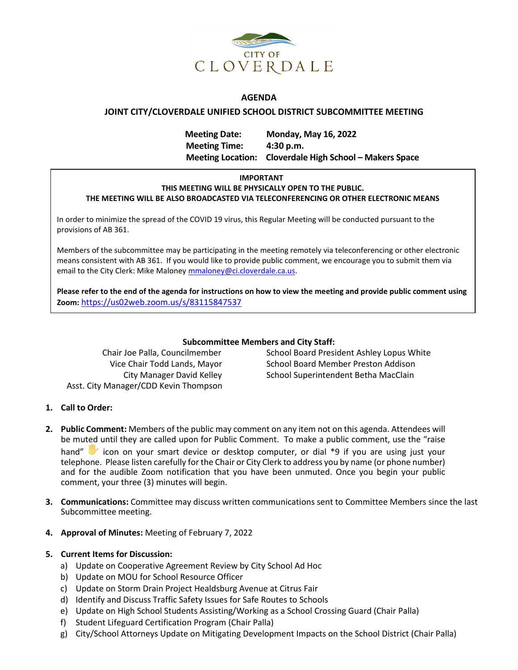

### **AGENDA**

### **JOINT CITY/CLOVERDALE UNIFIED SCHOOL DISTRICT SUBCOMMITTEE MEETING**

**Meeting Date: Monday, May 16, 2022 Meeting Time: 4:30 p.m. Meeting Location: Cloverdale High School – Makers Space**

### **IMPORTANT THIS MEETING WILL BE PHYSICALLY OPEN TO THE PUBLIC. THE MEETING WILL BE ALSO BROADCASTED VIA TELECONFERENCING OR OTHER ELECTRONIC MEANS**

In order to minimize the spread of the COVID 19 virus, this Regular Meeting will be conducted pursuant to the provisions of AB 361.

Members of the subcommittee may be participating in the meeting remotely via teleconferencing or other electronic means consistent with AB 361.If you would like to provide public comment, we encourage you to submit them via email to the City Clerk: Mike Maloney [mmaloney@ci.cloverdale.ca.us.](mailto:mmaloney@ci.cloverdale.ca.us)

**Please refer to the end of the agenda for instructions on how to view the meeting and provide public comment using Zoom:** <https://us02web.zoom.us/s/83115847537>

### **Subcommittee Members and City Staff:**

Asst. City Manager/CDD Kevin Thompson

Chair Joe Palla, Councilmember School Board President Ashley Lopus White Vice Chair Todd Lands, Mayor School Board Member Preston Addison City Manager David Kelley School Superintendent Betha MacClain

## **1. Call to Order:**

- **2. Public Comment:** Members of the public may comment on any item not on this agenda. Attendees will be muted until they are called upon for Public Comment. To make a public comment, use the "raise hand" icon on your smart device or desktop computer, or dial \*9 if you are using just your telephone. Please listen carefully for the Chair or City Clerk to address you by name (or phone number) and for the audible Zoom notification that you have been unmuted. Once you begin your public comment, your three (3) minutes will begin.
- **3. Communications:** Committee may discuss written communications sent to Committee Members since the last Subcommittee meeting.
- **4. Approval of Minutes:** Meeting of February 7, 2022

## **5. Current Items for Discussion:**

- a) Update on Cooperative Agreement Review by City School Ad Hoc
- b) Update on MOU for School Resource Officer
- c) Update on Storm Drain Project Healdsburg Avenue at Citrus Fair
- d) Identify and Discuss Traffic Safety Issues for Safe Routes to Schools
- e) Update on High School Students Assisting/Working as a School Crossing Guard (Chair Palla)
- f) Student Lifeguard Certification Program (Chair Palla)
- g) City/School Attorneys Update on Mitigating Development Impacts on the School District (Chair Palla)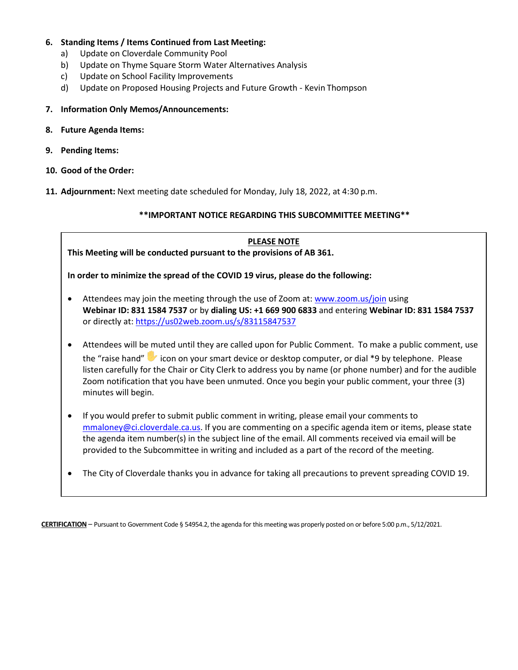- **6. Standing Items / Items Continued from Last Meeting:**
	- a) Update on Cloverdale Community Pool
	- b) Update on Thyme Square Storm Water Alternatives Analysis
	- c) Update on School Facility Improvements
	- d) Update on Proposed Housing Projects and Future Growth Kevin Thompson
- **7. Information Only Memos/Announcements:**
- **8. Future Agenda Items:**
- **9. Pending Items:**
- **10. Good of the Order:**
- **11. Adjournment:** Next meeting date scheduled for Monday, July 18, 2022, at 4:30 p.m.

## **\*\*IMPORTANT NOTICE REGARDING THIS SUBCOMMITTEE MEETING\*\***

# **PLEASE NOTE**

**This Meeting will be conducted pursuant to the provisions of AB 361.**

**In order to minimize the spread of the COVID 19 virus, please do the following:**

- Attendees may join the meeting through the use of Zoom at: [www.zoom.us/join](http://www.zoom.us/join) using **Webinar ID: 831 1584 7537** or by **dialing US: +1 669 900 6833** and entering **Webinar ID: 831 1584 7537**  or directly at: <https://us02web.zoom.us/s/83115847537>
- Attendees will be muted until they are called upon for Public Comment. To make a public comment, use the "raise hand" icon on your smart device or desktop computer, or dial \*9 by telephone. Please listen carefully for the Chair or City Clerk to address you by name (or phone number) and for the audible Zoom notification that you have been unmuted. Once you begin your public comment, your three (3) minutes will begin.
- If you would prefer to submit public comment in writing, please email your comments to [mmaloney@ci.cloverdale.ca.us.](mailto:mmaloney@ci.cloverdale.ca.us) If you are commenting on a specific agenda item or items, please state the agenda item number(s) in the subject line of the email. All comments received via email will be provided to the Subcommittee in writing and included as a part of the record of the meeting.
- The City of Cloverdale thanks you in advance for taking all precautions to prevent spreading COVID 19.

**CERTIFICATION** – Pursuant to Government Code § 54954.2, the agenda for this meeting was properly posted on or before 5:00 p.m., 5/12/2021.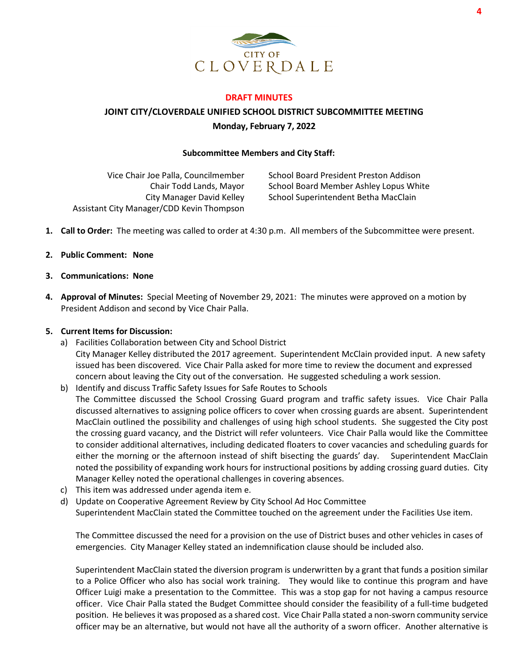

### **DRAFT MINUTES**

**JOINT CITY/CLOVERDALE UNIFIED SCHOOL DISTRICT SUBCOMMITTEE MEETING Monday, February 7, 2022** 

#### **Subcommittee Members and City Staff:**

Vice Chair Joe Palla, Councilmember Chair Todd Lands, Mayor City Manager David Kelley Assistant City Manager/CDD Kevin Thompson

School Board President Preston Addison School Board Member Ashley Lopus White School Superintendent Betha MacClain

- **1. Call to Order:** The meeting was called to order at 4:30 p.m. All members of the Subcommittee were present.
- **2. Public Comment: None**
- **3. Communications: None**
- **4. Approval of Minutes:** Special Meeting of November 29, 2021: The minutes were approved on a motion by President Addison and second by Vice Chair Palla.

### **5. Current Items for Discussion:**

- a) Facilities Collaboration between City and School District City Manager Kelley distributed the 2017 agreement. Superintendent McClain provided input. A new safety issued has been discovered. Vice Chair Palla asked for more time to review the document and expressed concern about leaving the City out of the conversation. He suggested scheduling a work session.
- b) Identify and discuss Traffic Safety Issues for Safe Routes to Schools The Committee discussed the School Crossing Guard program and traffic safety issues. Vice Chair Palla discussed alternatives to assigning police officers to cover when crossing guards are absent. Superintendent MacClain outlined the possibility and challenges of using high school students. She suggested the City post the crossing guard vacancy, and the District will refer volunteers. Vice Chair Palla would like the Committee to consider additional alternatives, including dedicated floaters to cover vacancies and scheduling guards for either the morning or the afternoon instead of shift bisecting the guards' day. Superintendent MacClain noted the possibility of expanding work hours for instructional positions by adding crossing guard duties. City Manager Kelley noted the operational challenges in covering absences.
- c) This item was addressed under agenda item e.
- d) Update on Cooperative Agreement Review by City School Ad Hoc Committee Superintendent MacClain stated the Committee touched on the agreement under the Facilities Use item.

The Committee discussed the need for a provision on the use of District buses and other vehicles in cases of emergencies. City Manager Kelley stated an indemnification clause should be included also.

Superintendent MacClain stated the diversion program is underwritten by a grant that funds a position similar to a Police Officer who also has social work training. They would like to continue this program and have Officer Luigi make a presentation to the Committee. This was a stop gap for not having a campus resource officer. Vice Chair Palla stated the Budget Committee should consider the feasibility of a full-time budgeted position. He believes it was proposed as a shared cost. Vice Chair Palla stated a non-sworn community service officer may be an alternative, but would not have all the authority of a sworn officer. Another alternative is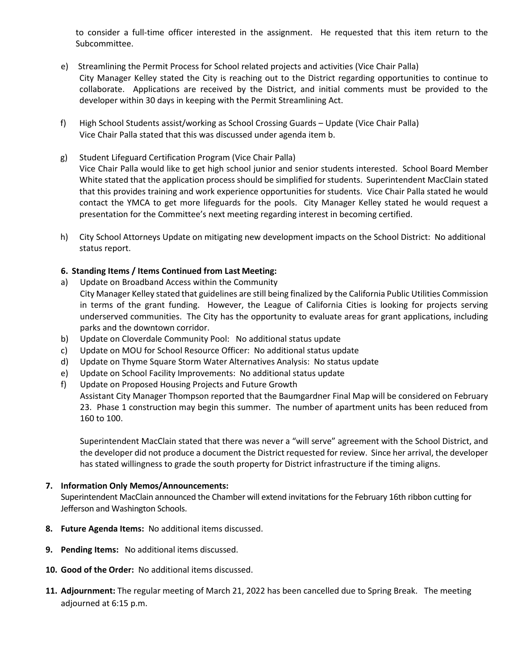to consider a full-time officer interested in the assignment. He requested that this item return to the Subcommittee.

- e) Streamlining the Permit Process for School related projects and activities (Vice Chair Palla) City Manager Kelley stated the City is reaching out to the District regarding opportunities to continue to collaborate. Applications are received by the District, and initial comments must be provided to the developer within 30 days in keeping with the Permit Streamlining Act.
- f) High School Students assist/working as School Crossing Guards Update (Vice Chair Palla) Vice Chair Palla stated that this was discussed under agenda item b.
- g) Student Lifeguard Certification Program (Vice Chair Palla) Vice Chair Palla would like to get high school junior and senior students interested. School Board Member White stated that the application process should be simplified for students. Superintendent MacClain stated that this provides training and work experience opportunities for students. Vice Chair Palla stated he would contact the YMCA to get more lifeguards for the pools. City Manager Kelley stated he would request a presentation for the Committee's next meeting regarding interest in becoming certified.
- h) City School Attorneys Update on mitigating new development impacts on the School District: No additional status report.

## **6. Standing Items / Items Continued from Last Meeting:**

- a) Update on Broadband Access within the Community City Manager Kelley stated that guidelines are still being finalized by the California Public Utilities Commission in terms of the grant funding. However, the League of California Cities is looking for projects serving underserved communities. The City has the opportunity to evaluate areas for grant applications, including parks and the downtown corridor.
- b) Update on Cloverdale Community Pool: No additional status update
- c) Update on MOU for School Resource Officer: No additional status update
- d) Update on Thyme Square Storm Water Alternatives Analysis: No status update
- e) Update on School Facility Improvements: No additional status update
- f) Update on Proposed Housing Projects and Future Growth Assistant City Manager Thompson reported that the Baumgardner Final Map will be considered on February

23. Phase 1 construction may begin this summer. The number of apartment units has been reduced from 160 to 100.

Superintendent MacClain stated that there was never a "will serve" agreement with the School District, and the developer did not produce a document the District requested for review. Since her arrival, the developer has stated willingness to grade the south property for District infrastructure if the timing aligns.

## **7. Information Only Memos/Announcements:**

Superintendent MacClain announced the Chamber will extend invitations for the February 16th ribbon cutting for Jefferson and Washington Schools.

- **8. Future Agenda Items:** No additional items discussed.
- **9. Pending Items:** No additional items discussed.
- **10. Good of the Order:** No additional items discussed.
- **11. Adjournment:** The regular meeting of March 21, 2022 has been cancelled due to Spring Break. The meeting adjourned at 6:15 p.m.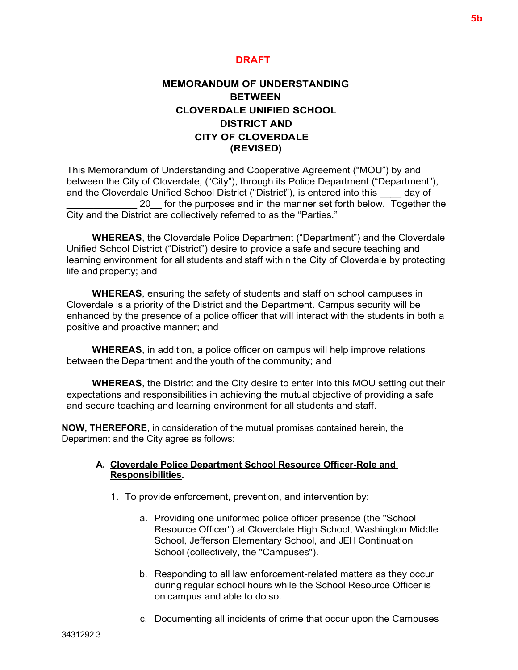# **DRAFT**

# **MEMORANDUM OF UNDERSTANDING BETWEEN CLOVERDALE UNIFIED SCHOOL DISTRICT AND CITY OF CLOVERDALE (REVISED)**

This Memorandum of Understanding and Cooperative Agreement ("MOU") by and between the City of Cloverdale, ("City"), through its Police Department ("Department"), and the Cloverdale Unified School District ("District"), is entered into this \_\_\_\_ day of 20 for the purposes and in the manner set forth below. Together the City and the District are collectively referred to as the "Parties."

**WHEREAS**, the Cloverdale Police Department ("Department") and the Cloverdale Unified School District ("District") desire to provide a safe and secure teaching and learning environment for all students and staff within the City of Cloverdale by protecting life and property; and

**WHEREAS**, ensuring the safety of students and staff on school campuses in Cloverdale is a priority of the District and the Department. Campus security will be enhanced by the presence of a police officer that will interact with the students in both a positive and proactive manner; and

**WHEREAS**, in addition, a police officer on campus will help improve relations between the Department and the youth of the community; and

**WHEREAS**, the District and the City desire to enter into this MOU setting out their expectations and responsibilities in achieving the mutual objective of providing a safe and secure teaching and learning environment for all students and staff.

**NOW, THEREFORE**, in consideration of the mutual promises contained herein, the Department and the City agree as follows:

## **A. Cloverdale Police Department School Resource Officer-Role and Responsibilities.**

- 1. To provide enforcement, prevention, and intervention by:
	- a. Providing one uniformed police officer presence (the "School Resource Officer") at Cloverdale High School, Washington Middle School, Jefferson Elementary School, and JEH Continuation School (collectively, the "Campuses").
	- b. Responding to all law enforcement-related matters as they occur during regular school hours while the School Resource Officer is on campus and able to do so.
	- c. Documenting all incidents of crime that occur upon the Campuses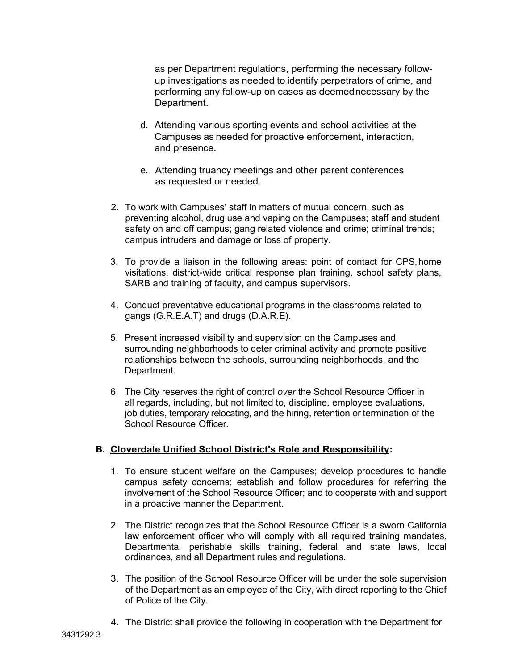as per Department regulations, performing the necessary followup investigations as needed to identify perpetrators of crime, and performing any follow-up on cases as deemednecessary by the Department.

- d. Attending various sporting events and school activities at the Campuses as needed for proactive enforcement, interaction, and presence.
- e. Attending truancy meetings and other parent conferences as requested or needed.
- 2. To work with Campuses' staff in matters of mutual concern, such as preventing alcohol, drug use and vaping on the Campuses; staff and student safety on and off campus; gang related violence and crime; criminal trends; campus intruders and damage or loss of property.
- 3. To provide a liaison in the following areas: point of contact for CPS,home visitations, district-wide critical response plan training, school safety plans, SARB and training of faculty, and campus supervisors.
- 4. Conduct preventative educational programs in the classrooms related to gangs (G.R.E.A.T) and drugs (D.A.R.E).
- 5. Present increased visibility and supervision on the Campuses and surrounding neighborhoods to deter criminal activity and promote positive relationships between the schools, surrounding neighborhoods, and the Department.
- 6. The City reserves the right of control *over* the School Resource Officer in all regards, including, but not limited to, discipline, employee evaluations, job duties, temporary relocating, and the hiring, retention or termination of the School Resource Officer.

## **B. Cloverdale Unified School District's Role and Responsibility:**

- 1. To ensure student welfare on the Campuses; develop procedures to handle campus safety concerns; establish and follow procedures for referring the involvement of the School Resource Officer; and to cooperate with and support in a proactive manner the Department.
- 2. The District recognizes that the School Resource Officer is a sworn California law enforcement officer who will comply with all required training mandates, Departmental perishable skills training, federal and state laws, local ordinances, and all Department rules and regulations.
- 3. The position of the School Resource Officer will be under the sole supervision of the Department as an employee of the City, with direct reporting to the Chief of Police of the City.
- 4. The District shall provide the following in cooperation with the Department for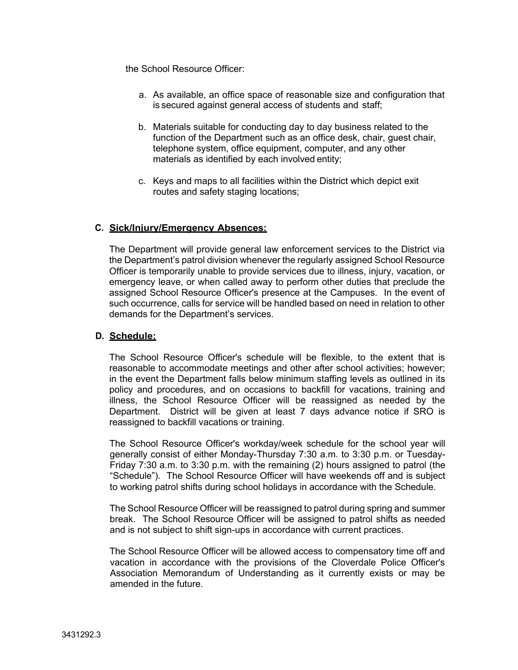the School Resource Officer:

- a. As available, an office space of reasonable size and configuration that is secured against general access of students and staff;
- b. Materials suitable for conducting day to day business related to the function of the Department such as an office desk, chair, guest chair, telephone system, office equipment, computer, and any other materials as identified by each involved entity;
- c. Keys and maps to all facilities within the District which depict exit routes and safety staging locations;

# **C. Sick/Injury/Emergency Absences:**

The Department will provide general law enforcement services to the District via the Department's patrol division whenever the regularly assigned School Resource Officer is temporarily unable to provide services due to illness, injury, vacation, or emergency leave, or when called away to perform other duties that preclude the assigned School Resource Officer's presence at the Campuses. In the event of such occurrence, calls for service will be handled based on need in relation to other demands for the Department's services.

## **D. Schedule:**

The School Resource Officer's schedule will be flexible, to the extent that is reasonable to accommodate meetings and other after school activities; however; in the event the Department falls below minimum staffing levels as outlined in its policy and procedures, and on occasions to backfill for vacations, training and illness, the School Resource Officer will be reassigned as needed by the Department. District will be given at least 7 days advance notice if SRO is reassigned to backfill vacations or training.

The School Resource Officer's workday/week schedule for the school year will generally consist of either Monday-Thursday 7:30 a.m. to 3:30 p.m. or Tuesday-Friday 7:30 a.m. to 3:30 p.m. with the remaining (2) hours assigned to patrol (the "Schedule"). The School Resource Officer will have weekends off and is subject to working patrol shifts during school holidays in accordance with the Schedule.

The School Resource Officer will be reassigned to patrol during spring and summer break. The School Resource Officer will be assigned to patrol shifts as needed and is not subject to shift sign-ups in accordance with current practices.

The School Resource Officer will be allowed access to compensatory time off and vacation in accordance with the provisions of the Cloverdale Police Officer's Association Memorandum of Understanding as it currently exists or may be amended in the future.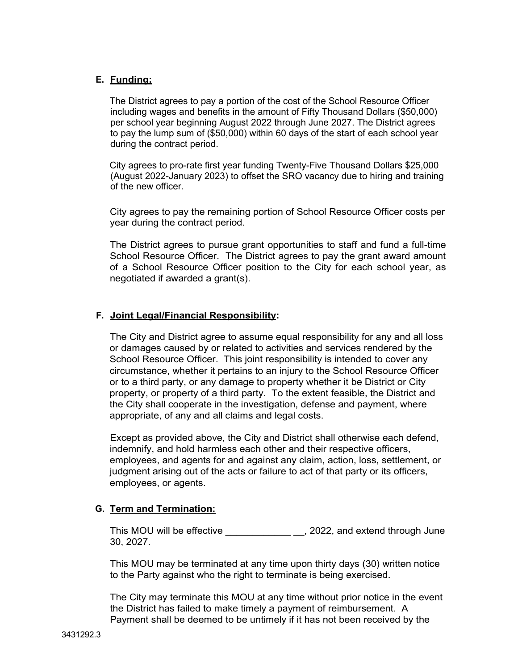# **E. Funding:**

The District agrees to pay a portion of the cost of the School Resource Officer including wages and benefits in the amount of Fifty Thousand Dollars (\$50,000) per school year beginning August 2022 through June 2027. The District agrees to pay the lump sum of (\$50,000) within 60 days of the start of each school year during the contract period.

City agrees to pro-rate first year funding Twenty-Five Thousand Dollars \$25,000 (August 2022-January 2023) to offset the SRO vacancy due to hiring and training of the new officer.

City agrees to pay the remaining portion of School Resource Officer costs per year during the contract period.

The District agrees to pursue grant opportunities to staff and fund a full-time School Resource Officer. The District agrees to pay the grant award amount of a School Resource Officer position to the City for each school year, as negotiated if awarded a grant(s).

# **F. Joint Legal/Financial Responsibility:**

The City and District agree to assume equal responsibility for any and all loss or damages caused by or related to activities and services rendered by the School Resource Officer. This joint responsibility is intended to cover any circumstance, whether it pertains to an injury to the School Resource Officer or to a third party, or any damage to property whether it be District or City property, or property of a third party. To the extent feasible, the District and the City shall cooperate in the investigation, defense and payment, where appropriate, of any and all claims and legal costs.

Except as provided above, the City and District shall otherwise each defend, indemnify, and hold harmless each other and their respective officers, employees, and agents for and against any claim, action, loss, settlement, or judgment arising out of the acts or failure to act of that party or its officers, employees, or agents.

# **G. Term and Termination:**

This MOU will be effective \_\_\_\_\_\_\_\_\_\_\_\_\_\_\_\_, 2022, and extend through June 30, 2027.

This MOU may be terminated at any time upon thirty days (30) written notice to the Party against who the right to terminate is being exercised.

The City may terminate this MOU at any time without prior notice in the event the District has failed to make timely a payment of reimbursement. A Payment shall be deemed to be untimely if it has not been received by the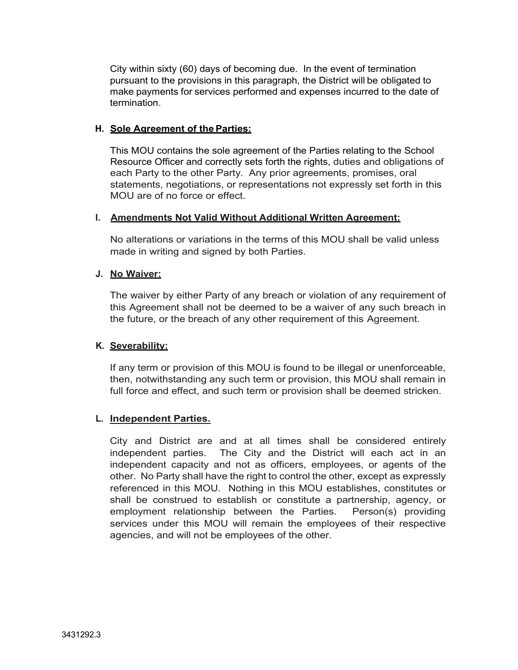City within sixty (60) days of becoming due. In the event of termination pursuant to the provisions in this paragraph, the District will be obligated to make payments for services performed and expenses incurred to the date of termination.

# **H. Sole Agreement of the Parties:**

This MOU contains the sole agreement of the Parties relating to the School Resource Officer and correctly sets forth the rights, duties and obligations of each Party to the other Party. Any prior agreements, promises, oral statements, negotiations, or representations not expressly set forth in this MOU are of no force or effect.

## **I. Amendments Not Valid Without Additional Written Agreement:**

No alterations or variations in the terms of this MOU shall be valid unless made in writing and signed by both Parties.

## **J. No Waiver:**

The waiver by either Party of any breach or violation of any requirement of this Agreement shall not be deemed to be a waiver of any such breach in the future, or the breach of any other requirement of this Agreement.

# **K. Severability:**

If any term or provision of this MOU is found to be illegal or unenforceable, then, notwithstanding any such term or provision, this MOU shall remain in full force and effect, and such term or provision shall be deemed stricken.

# **L. Independent Parties.**

City and District are and at all times shall be considered entirely independent parties. The City and the District will each act in an independent capacity and not as officers, employees, or agents of the other. No Party shall have the right to control the other, except as expressly referenced in this MOU. Nothing in this MOU establishes, constitutes or shall be construed to establish or constitute a partnership, agency, or employment relationship between the Parties. Person(s) providing services under this MOU will remain the employees of their respective agencies, and will not be employees of the other.